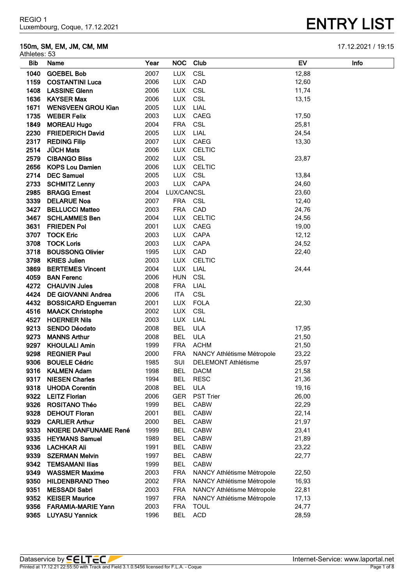# **150m, SM, EM, JM, CM, MM** 17.12.2021 / 19:15

| Athletes: 53 |                              |      |            |                            |       |      |
|--------------|------------------------------|------|------------|----------------------------|-------|------|
| <b>Bib</b>   | Name                         | Year | <b>NOC</b> | Club                       | EV    | Info |
| 1040         | <b>GOEBEL Bob</b>            | 2007 | <b>LUX</b> | <b>CSL</b>                 | 12,88 |      |
| 1159         | <b>COSTANTINI Luca</b>       | 2006 | <b>LUX</b> | CAD                        | 12,60 |      |
| 1408         | <b>LASSINE Glenn</b>         | 2006 | <b>LUX</b> | <b>CSL</b>                 | 11,74 |      |
| 1636         | <b>KAYSER Max</b>            | 2006 | <b>LUX</b> | <b>CSL</b>                 | 13,15 |      |
| 1671         | <b>WENSVEEN GROU Kian</b>    | 2005 | <b>LUX</b> | LIAL                       |       |      |
| 1735         | <b>WEBER Felix</b>           | 2003 | <b>LUX</b> | CAEG                       | 17,50 |      |
| 1849         | <b>MOREAU Hugo</b>           | 2004 | <b>FRA</b> | CSL                        | 25,81 |      |
| 2230         | <b>FRIEDERICH David</b>      | 2005 | <b>LUX</b> | LIAL                       | 24,54 |      |
| 2317         | <b>REDING Filip</b>          | 2007 | <b>LUX</b> | CAEG                       | 13,30 |      |
| 2514         | <b>JÜCH Mats</b>             | 2006 | <b>LUX</b> | <b>CELTIC</b>              |       |      |
| 2579         | <b>CIBANGO Bliss</b>         | 2002 | <b>LUX</b> | <b>CSL</b>                 | 23,87 |      |
| 2656         | <b>KOPS Lou Damien</b>       | 2006 | <b>LUX</b> | <b>CELTIC</b>              |       |      |
| 2714         | <b>DEC Samuel</b>            | 2005 | <b>LUX</b> | CSL                        | 13,84 |      |
| 2733         | <b>SCHMITZ Lenny</b>         | 2003 |            | LUX CAPA                   | 24,60 |      |
| 2985         | <b>BRAGG Ernest</b>          | 2004 | LUX/CANCSL |                            | 23,60 |      |
| 3339         | <b>DELARUE Noa</b>           | 2007 | FRA CSL    |                            | 12,40 |      |
|              | 3427 BELLUCCI Matteo         | 2003 | <b>FRA</b> | CAD                        | 24,76 |      |
|              | 3467 SCHLAMMES Ben           | 2004 | <b>LUX</b> | <b>CELTIC</b>              | 24,56 |      |
| 3631         | <b>FRIEDEN Pol</b>           | 2001 | <b>LUX</b> | CAEG                       | 19,00 |      |
| 3707         | <b>TOCK Eric</b>             | 2003 | <b>LUX</b> | CAPA                       | 12,12 |      |
| 3708         | <b>TOCK Loris</b>            | 2003 | <b>LUX</b> | <b>CAPA</b>                | 24,52 |      |
| 3718         | <b>BOUSSONG Olivier</b>      | 1995 | <b>LUX</b> | CAD                        | 22,40 |      |
| 3798         | <b>KRIES Julien</b>          | 2003 | <b>LUX</b> | <b>CELTIC</b>              |       |      |
| 3869         | <b>BERTEMES Vincent</b>      | 2004 | <b>LUX</b> | LIAL                       | 24,44 |      |
| 4059         | <b>BAN Ferenc</b>            | 2006 | <b>HUN</b> | CSL                        |       |      |
| 4272         | <b>CHAUVIN Jules</b>         | 2008 | <b>FRA</b> | LIAL                       |       |      |
| 4424         | <b>DE GIOVANNI Andrea</b>    | 2006 | <b>ITA</b> | <b>CSL</b>                 |       |      |
| 4432         | <b>BOSSICARD Enguerran</b>   | 2001 | <b>LUX</b> | <b>FOLA</b>                | 22,30 |      |
| 4516         | <b>MAACK Christophe</b>      | 2002 | <b>LUX</b> | CSL                        |       |      |
| 4527         | <b>HOERNER Nils</b>          | 2003 | <b>LUX</b> | LIAL                       |       |      |
| 9213         | <b>SENDO Déodato</b>         | 2008 | <b>BEL</b> | <b>ULA</b>                 | 17,95 |      |
| 9273         | <b>MANNS Arthur</b>          | 2008 | <b>BEL</b> | <b>ULA</b>                 | 21,50 |      |
| 9297         | <b>KHOULALI Amin</b>         | 1999 | <b>FRA</b> | <b>ACHM</b>                | 21,50 |      |
| 9298         | <b>REGNIER Paul</b>          | 2000 | <b>FRA</b> | NANCY Athlétisme Métropole | 23,22 |      |
| 9306         | <b>BOUELE Cédric</b>         | 1985 | SUI        | <b>DELEMONT Athlétisme</b> | 25,97 |      |
|              | 9316 KALMEN Adam             | 1998 | BEL        | <b>DACM</b>                | 21,58 |      |
| 9317         | <b>NIESEN Charles</b>        | 1994 | <b>BEL</b> | <b>RESC</b>                | 21,36 |      |
| 9318         | <b>UHODA Corentin</b>        | 2008 | <b>BEL</b> | <b>ULA</b>                 | 19,16 |      |
| 9322         | <b>LEITZ Florian</b>         | 2006 | <b>GER</b> | <b>PST Trier</b>           | 26,00 |      |
| 9326         | <b>ROSITANO Théo</b>         | 1999 | <b>BEL</b> | <b>CABW</b>                | 22,29 |      |
| 9328         | <b>DEHOUT Floran</b>         | 2001 | <b>BEL</b> | <b>CABW</b>                | 22,14 |      |
| 9329         | <b>CARLIER Arthur</b>        | 2000 | <b>BEL</b> | <b>CABW</b>                | 21,97 |      |
| 9333         | <b>NKIERE DANFUNAME René</b> | 1999 | <b>BEL</b> | <b>CABW</b>                | 23,41 |      |
| 9335         | <b>HEYMANS Samuel</b>        | 1989 | <b>BEL</b> | <b>CABW</b>                | 21,89 |      |
| 9336         | LACHKAR Ali                  | 1991 | <b>BEL</b> | <b>CABW</b>                | 23,22 |      |
| 9339         | <b>SZERMAN Melvin</b>        | 1997 | <b>BEL</b> | <b>CABW</b>                | 22,77 |      |
| 9342         | <b>TEMSAMANI Ilias</b>       | 1999 | <b>BEL</b> | <b>CABW</b>                |       |      |
| 9349         | <b>WASSMER Maxime</b>        | 2003 | <b>FRA</b> | NANCY Athlétisme Métropole | 22,50 |      |
| 9350         | <b>HILDENBRAND Theo</b>      | 2002 | <b>FRA</b> | NANCY Athlétisme Métropole | 16,93 |      |
| 9351         | <b>MESSADI Sabri</b>         | 2003 | <b>FRA</b> | NANCY Athlétisme Métropole | 22,81 |      |
| 9352         | <b>KEISER Maurice</b>        | 1997 | <b>FRA</b> | NANCY Athlétisme Métropole | 17,13 |      |
| 9356         | <b>FARAMIA-MARIE Yann</b>    | 2003 | <b>FRA</b> | <b>TOUL</b>                | 24,77 |      |
|              | 9365 LUYASU Yannick          | 1996 | BEL        | <b>ACD</b>                 | 28,59 |      |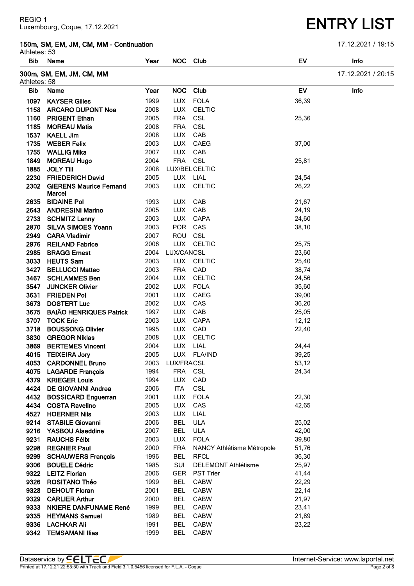### **150m, SM, EM, JM, CM, MM - Continuation** 17.12.2021 / 19:15

Athletes: 53

| AUIIGIGS. JJ |                                |      |            |                            |           |                    |
|--------------|--------------------------------|------|------------|----------------------------|-----------|--------------------|
| Bib          | Name                           | Year |            | NOC Club                   | EV        | Info               |
| Athletes: 58 | 300m, SM, EM, JM, CM, MM       |      |            |                            |           | 17.12.2021 / 20:15 |
| <b>Bib</b>   | Name                           | Year | <b>NOC</b> | Club                       | <b>EV</b> | Info               |
| 1097         | <b>KAYSER Gilles</b>           | 1999 | <b>LUX</b> | <b>FOLA</b>                | 36,39     |                    |
| 1158         | <b>ARCARO DUPONT Noa</b>       | 2008 | <b>LUX</b> | <b>CELTIC</b>              |           |                    |
| 1160         | <b>PRIGENT Ethan</b>           | 2005 | <b>FRA</b> | CSL                        | 25,36     |                    |
| 1185         | <b>MOREAU Matis</b>            | 2008 | <b>FRA</b> | CSL                        |           |                    |
|              | 1537 KAELL Jim                 | 2008 | LUX        | CAB                        |           |                    |
|              | 1735 WEBER Felix               | 2003 |            | LUX CAEG                   | 37,00     |                    |
|              | 1755 WALLIG Mika               | 2007 |            | LUX CAB                    |           |                    |
|              | 1849 MOREAU Hugo               | 2004 | FRA CSL    |                            | 25,81     |                    |
|              | 1885 JOLY Till                 | 2008 |            | LUX/BEL CELTIC             |           |                    |
|              | 2230 FRIEDERICH David          | 2005 |            | LUX LIAL                   | 24,54     |                    |
|              | 2302 GIERENS Maurice Fernand   | 2003 | <b>LUX</b> | <b>CELTIC</b>              | 26,22     |                    |
|              | Marcel                         |      |            |                            |           |                    |
| 2635         | <b>BIDAINE Pol</b>             | 1993 | <b>LUX</b> | CAB                        | 21,67     |                    |
|              | 2643 ANDRESINI Marino          | 2005 | LUX        | CAB                        | 24,19     |                    |
|              | 2733 SCHMITZ Lenny             | 2003 |            | LUX CAPA                   | 24,60     |                    |
|              | 2870 SILVA SIMOES Yoann        | 2003 | POR CAS    |                            | 38,10     |                    |
|              | 2949 CARA Vladimir             | 2007 | ROU CSL    |                            |           |                    |
|              | 2976 REILAND Fabrice           | 2006 |            | LUX CELTIC                 | 25,75     |                    |
|              | 2985 BRAGG Ernest              | 2004 | LUX/CANCSL |                            | 23,60     |                    |
|              | 3033 HEUTS Sam                 | 2003 |            | LUX CELTIC                 | 25,40     |                    |
|              | 3427 BELLUCCI Matteo           | 2003 | <b>FRA</b> | CAD                        | 38,74     |                    |
|              | 3467 SCHLAMMES Ben             | 2004 | <b>LUX</b> | <b>CELTIC</b>              | 24,56     |                    |
|              | 3547 JUNCKER Olivier           | 2002 | <b>LUX</b> | <b>FOLA</b>                | 35,60     |                    |
| 3631         | <b>FRIEDEN Pol</b>             | 2001 | <b>LUX</b> | CAEG                       | 39,00     |                    |
| 3673         | <b>DOSTERT Luc</b>             | 2002 | <b>LUX</b> | CAS                        | 36,20     |                    |
| 3675         | <b>BAIÃO HENRIQUES Patrick</b> | 1997 | <b>LUX</b> | CAB                        | 25,05     |                    |
| 3707         | <b>TOCK Eric</b>               | 2003 | <b>LUX</b> | CAPA                       | 12, 12    |                    |
| 3718         | <b>BOUSSONG Olivier</b>        | 1995 | <b>LUX</b> | CAD                        | 22,40     |                    |
| 3830         | <b>GREGOR Niklas</b>           | 2008 | <b>LUX</b> | <b>CELTIC</b>              |           |                    |
| 3869         | <b>BERTEMES Vincent</b>        | 2004 | <b>LUX</b> | LIAL                       | 24,44     |                    |
| 4015         | <b>TEIXEIRA Jory</b>           | 2005 |            | LUX FLA/IND                | 39,25     |                    |
| 4053         | <b>CARDONNEL Bruno</b>         | 2003 | LUX/FRACSL |                            | 53,12     |                    |
| 4075         | <b>LAGARDE François</b>        | 1994 | <b>FRA</b> | <b>CSL</b>                 | 24,34     |                    |
| 4379         | <b>KRIEGER Louis</b>           | 1994 | <b>LUX</b> | CAD                        |           |                    |
| 4424         | <b>DE GIOVANNI Andrea</b>      | 2006 | <b>ITA</b> | <b>CSL</b>                 |           |                    |
| 4432         | <b>BOSSICARD Enguerran</b>     | 2001 | <b>LUX</b> | <b>FOLA</b>                | 22,30     |                    |
|              | 4434 COSTA Ravelino            | 2005 | <b>LUX</b> | CAS                        | 42,65     |                    |
| 4527         | <b>HOERNER Nils</b>            | 2003 | <b>LUX</b> | LIAL                       |           |                    |
| 9214         | <b>STABILE Giovanni</b>        | 2006 | <b>BEL</b> | <b>ULA</b>                 | 25,02     |                    |
|              | 9216 YASBOU Alaeddine          | 2007 | <b>BEL</b> | <b>ULA</b>                 | 42,00     |                    |
| 9231         | <b>RAUCHS Félix</b>            | 2003 | <b>LUX</b> | <b>FOLA</b>                | 39,80     |                    |
| 9298         | <b>REGNIER Paul</b>            | 2000 | <b>FRA</b> | NANCY Athlétisme Métropole | 51,76     |                    |
|              | 9299 SCHAUWERS François        | 1996 | <b>BEL</b> | <b>RFCL</b>                | 36,30     |                    |
| 9306         | <b>BOUELE Cédric</b>           | 1985 | <b>SUI</b> | <b>DELEMONT Athlétisme</b> | 25,97     |                    |
|              | 9322 LEITZ Florian             | 2006 | <b>GER</b> | <b>PST Trier</b>           | 41,44     |                    |
|              | 9326 ROSITANO Théo             | 1999 | <b>BEL</b> | <b>CABW</b>                | 22,29     |                    |
| 9328         | <b>DEHOUT Floran</b>           | 2001 | <b>BEL</b> | <b>CABW</b>                | 22,14     |                    |
|              | 9329 CARLIER Arthur            | 2000 | <b>BEL</b> | <b>CABW</b>                | 21,97     |                    |
|              | 9333 NKIERE DANFUNAME René     | 1999 | <b>BEL</b> | <b>CABW</b>                | 23,41     |                    |
|              | 9335 HEYMANS Samuel            | 1989 | <b>BEL</b> | <b>CABW</b>                | 21,89     |                    |
|              | 9336 LACHKAR Ali               | 1991 | <b>BEL</b> | <b>CABW</b>                | 23,22     |                    |
|              | 9342 TEMSAMANI Ilias           | 1999 | <b>BEL</b> | <b>CABW</b>                |           |                    |

# **ENTRY LIST**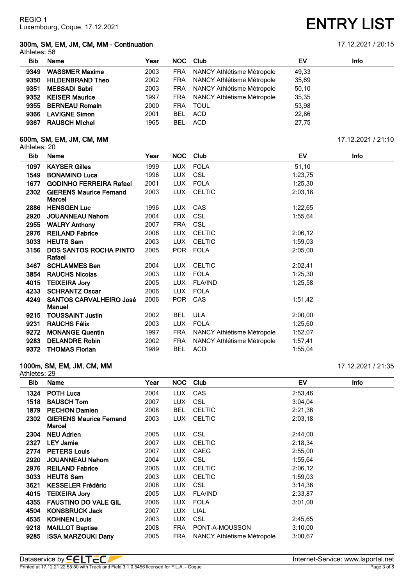# **300m, SM, EM, JM, CM, MM - Continuation** 17.12.2021 / 20:15

| Year                                                                                                                                                                   | NOC Club   |             | EV                                                                                                                                   | Info |
|------------------------------------------------------------------------------------------------------------------------------------------------------------------------|------------|-------------|--------------------------------------------------------------------------------------------------------------------------------------|------|
| 2003                                                                                                                                                                   |            |             | 49,33                                                                                                                                |      |
| 2002                                                                                                                                                                   |            |             | 35,69                                                                                                                                |      |
| 2003                                                                                                                                                                   |            |             | 50,10                                                                                                                                |      |
| 1997                                                                                                                                                                   |            |             | 35,35                                                                                                                                |      |
| 2000                                                                                                                                                                   | <b>FRA</b> | <b>TOUL</b> | 53,98                                                                                                                                |      |
| 2001                                                                                                                                                                   | <b>BEL</b> | ACD         | 22,86                                                                                                                                |      |
| 1965                                                                                                                                                                   | BEL        | ACD         | 27,75                                                                                                                                |      |
| <b>WASSMER Maxime</b><br><b>HILDENBRAND Theo</b><br><b>MESSADI Sabri</b><br>9352 KEISER Maurice<br>9355 BERNEAU Romain<br><b>LAVIGNE Simon</b><br><b>RAUSCH Michel</b> |            |             | FRA NANCY Athlétisme Métropole<br>FRA NANCY Athlétisme Métropole<br>FRA NANCY Athlétisme Métropole<br>FRA NANCY Athlétisme Métropole |      |

# **600m, SM, EM, JM, CM, MM** 17.12.2021 / 21:10

| Athletes: 20 |                                                 |      |            |                            |         |             |
|--------------|-------------------------------------------------|------|------------|----------------------------|---------|-------------|
| Bib          | Name                                            | Year | <b>NOC</b> | Club                       | EV      | <b>Info</b> |
| 1097         | <b>KAYSER Gilles</b>                            | 1999 | <b>LUX</b> | <b>FOLA</b>                | 51,10   |             |
| 1549         | <b>BONAMINO Luca</b>                            | 1996 | <b>LUX</b> | <b>CSL</b>                 | 1:23,75 |             |
| 1677         | <b>GODINHO FERREIRA Rafael</b>                  | 2001 | <b>LUX</b> | <b>FOLA</b>                | 1:25,30 |             |
| 2302         | <b>GIERENS Maurice Fernand</b><br>Marcel        | 2003 | <b>LUX</b> | <b>CELTIC</b>              | 2:03,18 |             |
| 2886         | <b>HENSGEN Luc</b>                              | 1996 | LUX.       | <b>CAS</b>                 | 1:22,65 |             |
| 2920         | <b>JOUANNEAU Nahom</b>                          | 2004 | <b>LUX</b> | <b>CSL</b>                 | 1:55,64 |             |
| 2955         | <b>WALRY Anthony</b>                            | 2007 | <b>FRA</b> | <b>CSL</b>                 |         |             |
| 2976         | <b>REILAND Fabrice</b>                          | 2006 | <b>LUX</b> | <b>CELTIC</b>              | 2:06,12 |             |
| 3033         | <b>HEUTS Sam</b>                                | 2003 | <b>LUX</b> | <b>CELTIC</b>              | 1:59,03 |             |
| 3156         | <b>DOS SANTOS ROCHA PINTO</b><br>Rafael         | 2005 | <b>POR</b> | <b>FOLA</b>                | 2:05,00 |             |
| 3467         | <b>SCHLAMMES Ben</b>                            | 2004 | <b>LUX</b> | <b>CELTIC</b>              | 2:02,41 |             |
| 3854         | <b>RAUCHS Nicolas</b>                           | 2003 | <b>LUX</b> | <b>FOLA</b>                | 1:25,30 |             |
| 4015         | <b>TEIXEIRA Jory</b>                            | 2005 | <b>LUX</b> | <b>FLA/IND</b>             | 1:25,58 |             |
| 4233         | <b>SCHRANTZ Oscar</b>                           | 2006 | <b>LUX</b> | <b>FOLA</b>                |         |             |
| 4249         | <b>SANTOS CARVALHEIRO José</b><br><b>Manuel</b> | 2006 | <b>POR</b> | CAS                        | 1:51,42 |             |
| 9215         | <b>TOUSSAINT Justin</b>                         | 2002 | <b>BEL</b> | <b>ULA</b>                 | 2:00,00 |             |
| 9231         | <b>RAUCHS Félix</b>                             | 2003 | <b>LUX</b> | <b>FOLA</b>                | 1:25,60 |             |
| 9272         | <b>MONANGE Quentin</b>                          | 1997 | <b>FRA</b> | NANCY Athlétisme Métropole | 1:52,07 |             |
| 9283         | <b>DELANDRE Robin</b>                           | 2002 | <b>FRA</b> | NANCY Athlétisme Métropole | 1:57,41 |             |
| 9372         | <b>THOMAS Florian</b>                           | 1989 | <b>BEL</b> | ACD                        | 1:55,04 |             |

## **1000m, SM, EM, JM, CM, MM** 17.12.2021 / 21:35 Athletes: 29

**Bib Name Year NOC Club EV Info POTH Luca** 2004 LUX CAS 2:53,46 **BAUSCH Tom** 2007 LUX CSL 3:04,04 **PECHON Damien** 2008 BEL CELTIC 2:21,36 **GIERENS Maurice Fernand Marcel** LUX CELTIC 2:03,18 **NEU Adrien** 2005 LUX CSL 2:44,00 **LEY Jamie** 2007 LUX CELTIC 2:18,34 **PETERS Louis** 2007 LUX CAEG 2:55,00 **2920 JOUANNEAU Nahom 2004 LUX CSL 1:55,64 REILAND Fabrice** 2006 LUX CELTIC 2:06,12 **HEUTS Sam** 2003 LUX CELTIC 1:59,03 **KESSELER Frédéric** 2008 LUX CSL 3:14,36 **TEIXEIRA Jory** 2005 LUX FLA/IND 2:33,87 **FAUSTINO DO VALE GIL** 2006 LUX FOLA 3:01,00 **KONSBRUCK Jack** 2007 LUX LIAL **KOHNEN Louis** 2003 LUX CSL 2:45,65 **MAILLOT Baptise** 2008 FRA PONT-A-MOUSSON 3:10,00 **ISSA MARZOUKI Dany** 2005 FRA NANCY Athlétisme Métropole 3:00,67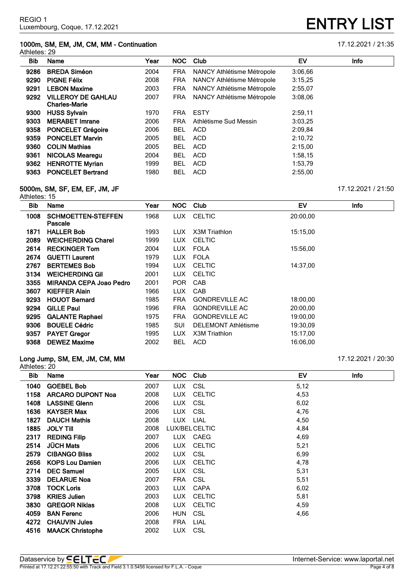# **1000m, SM, EM, JM, CM, MM - Continuation** 17.12.2021 / 21:35

| Athletes: 29 |                                                   |      |            |                            |         |             |
|--------------|---------------------------------------------------|------|------------|----------------------------|---------|-------------|
| Bib          | Name                                              | Year | NOC.       | Club                       | EV      | <b>Info</b> |
| 9286         | <b>BREDA Siméon</b>                               | 2004 | <b>FRA</b> | NANCY Athlétisme Métropole | 3:06,66 |             |
| 9290         | <b>PIGNE Félix</b>                                | 2008 | <b>FRA</b> | NANCY Athlétisme Métropole | 3:15.25 |             |
| 9291         | <b>LEBON Maxime</b>                               | 2003 | <b>FRA</b> | NANCY Athlétisme Métropole | 2:55,07 |             |
| 9292         | <b>VILLEROY DE GAHLAU</b><br><b>Charles-Marie</b> | 2007 | <b>FRA</b> | NANCY Athlétisme Métropole | 3:08.06 |             |
| 9300         | <b>HUSS Sylvain</b>                               | 1970 | <b>FRA</b> | <b>ESTY</b>                | 2:59,11 |             |
| 9303         | <b>MERABET Imrane</b>                             | 2006 | <b>FRA</b> | Athlétisme Sud Messin      | 3:03.25 |             |
| 9358         | <b>PONCELET Grégoire</b>                          | 2006 | <b>BEL</b> | <b>ACD</b>                 | 2:09,84 |             |
| 9359         | <b>PONCELET Marvin</b>                            | 2005 | <b>BEL</b> | <b>ACD</b>                 | 2:10,72 |             |
| 9360         | <b>COLIN Mathias</b>                              | 2005 | <b>BEL</b> | <b>ACD</b>                 | 2:15,00 |             |
| 9361         | NICOLAS Mearegu                                   | 2004 | <b>BEL</b> | <b>ACD</b>                 | 1:58,15 |             |
| 9362         | <b>HENROTTE Myrian</b>                            | 1999 | <b>BEL</b> | <b>ACD</b>                 | 1:53.79 |             |
| 9363         | <b>PONCELET Bertrand</b>                          | 1980 | <b>BEL</b> | <b>ACD</b>                 | 2:55.00 |             |

# **5000m, SM, SF, EM, EF, JM, JF** 17.12.2021 / 21:50

| Athletes: 15 |                                      |      |            |                            |          |      |
|--------------|--------------------------------------|------|------------|----------------------------|----------|------|
| <b>Bib</b>   | Name                                 | Year | NOC.       | Club                       | EV       | Info |
| 1008         | <b>SCHMOETTEN-STEFFEN</b><br>Pascale | 1968 | LUX .      | <b>CELTIC</b>              | 20:00,00 |      |
| 1871         | <b>HALLER Bob</b>                    | 1993 | LUX.       | X3M Triathlon              | 15:15.00 |      |
| 2089         | <b>WEICHERDING Charel</b>            | 1999 | LUX.       | <b>CELTIC</b>              |          |      |
| 2614         | <b>RECKINGER Tom</b>                 | 2004 | LUX.       | <b>FOLA</b>                | 15:56,00 |      |
| 2674         | <b>GUETTI Laurent</b>                | 1979 | LUX.       | <b>FOLA</b>                |          |      |
| 2767         | <b>BERTEMES Bob</b>                  | 1994 | <b>LUX</b> | <b>CELTIC</b>              | 14:37,00 |      |
| 3134         | <b>WEICHERDING GIL</b>               | 2001 | <b>LUX</b> | <b>CELTIC</b>              |          |      |
| 3355         | <b>MIRANDA CEPA Joao Pedro</b>       | 2001 | <b>POR</b> | CAB                        |          |      |
| 3607         | <b>KIEFFER Alain</b>                 | 1966 | <b>LUX</b> | CAB                        |          |      |
| 9293         | <b>HOUOT Bernard</b>                 | 1985 | <b>FRA</b> | <b>GONDREVILLE AC</b>      | 18:00,00 |      |
| 9294         | <b>GILLE Paul</b>                    | 1996 | <b>FRA</b> | <b>GONDREVILLE AC</b>      | 20:00,00 |      |
| 9295         | <b>GALANTE Raphael</b>               | 1975 | <b>FRA</b> | <b>GONDREVILLE AC</b>      | 19:00.00 |      |
| 9306         | <b>BOUELE Cédric</b>                 | 1985 | SUI        | <b>DELEMONT Athlétisme</b> | 19:30.09 |      |
| 9357         | <b>PAYET Gregor</b>                  | 1995 | LUX        | X3M Triathlon              | 15:17,00 |      |
| 9368         | <b>DEWEZ Maxime</b>                  | 2002 | <b>BEL</b> | <b>ACD</b>                 | 16:06,00 |      |

# **Long Jump, SM, EM, JM, CM, MM** 17.12.2021 / 20:30

| Athletes: 20 |                          |      |            |                |      |      |
|--------------|--------------------------|------|------------|----------------|------|------|
| <b>Bib</b>   | Name                     | Year | <b>NOC</b> | Club           | EV   | Info |
| 1040         | <b>GOEBEL Bob</b>        | 2007 | <b>LUX</b> | CSL            | 5,12 |      |
| 1158         | <b>ARCARO DUPONT Noa</b> | 2008 | LUX.       | <b>CELTIC</b>  | 4,53 |      |
| 1408         | <b>LASSINE Glenn</b>     | 2006 | LUX.       | <b>CSL</b>     | 6,02 |      |
| 1636         | <b>KAYSER Max</b>        | 2006 | LUX.       | CSL            | 4,76 |      |
| 1827         | <b>DAUCH Mathis</b>      | 2008 | LUX.       | LIAL           | 4,50 |      |
| 1885         | <b>JOLY TIII</b>         | 2008 |            | LUX/BEL CELTIC | 4,84 |      |
| 2317         | <b>REDING Filip</b>      | 2007 | LUX        | CAEG           | 4,69 |      |
| 2514         | <b>JÜCH Mats</b>         | 2006 | <b>LUX</b> | <b>CELTIC</b>  | 5,21 |      |
| 2579         | <b>CIBANGO Bliss</b>     | 2002 | LUX.       | <b>CSL</b>     | 6,99 |      |
| 2656         | <b>KOPS Lou Damien</b>   | 2006 | <b>LUX</b> | <b>CELTIC</b>  | 4,78 |      |
| 2714         | <b>DEC Samuel</b>        | 2005 | <b>LUX</b> | <b>CSL</b>     | 5,31 |      |
| 3339         | <b>DELARUE Noa</b>       | 2007 | <b>FRA</b> | <b>CSL</b>     | 5,51 |      |
| 3708         | <b>TOCK Loris</b>        | 2003 | <b>LUX</b> | <b>CAPA</b>    | 6,02 |      |
| 3798         | <b>KRIES Julien</b>      | 2003 | LUX.       | <b>CELTIC</b>  | 5,81 |      |
| 3830         | <b>GREGOR Niklas</b>     | 2008 | LUX.       | <b>CELTIC</b>  | 4,59 |      |
| 4059         | <b>BAN Ferenc</b>        | 2006 | <b>HUN</b> | CSL            | 4,66 |      |
| 4272         | <b>CHAUVIN Jules</b>     | 2008 | <b>FRA</b> | LIAL           |      |      |
| 4516         | <b>MAACK Christophe</b>  | 2002 | LUX        | CSL            |      |      |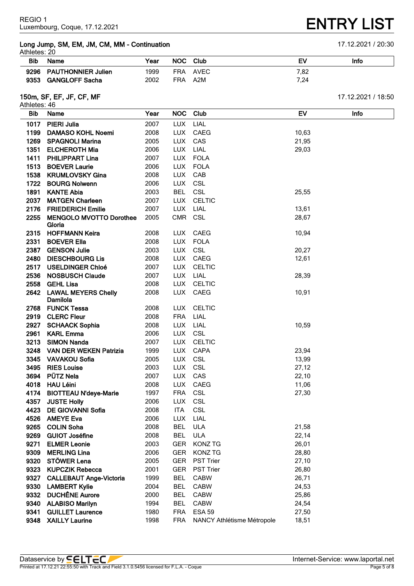# **Long Jump, SM, EM, JM, CM, MM - Continuation** 17.12.2021 / 20:30

| --           |  |
|--------------|--|
| Athletes: 20 |  |

| าแแบเบง. ∠บ |                         |      |            |             |      |      |
|-------------|-------------------------|------|------------|-------------|------|------|
| <b>Bib</b>  | Name                    | Year | <b>NOC</b> | <b>Club</b> | Eν   | Info |
|             | 9296 PAUTHONNIER Julien | 1999 | <b>FRA</b> | AVEC        | 7.82 |      |
|             | 9353 GANGLOFF Sacha     | 2002 | <b>FRA</b> | A2M         | 7.24 |      |

# **150m, SF, EF, JF, CF, MF** 17.12.2021 / 18:50

| Athletes: 46 |                                          |              |                          |                            |           |      |
|--------------|------------------------------------------|--------------|--------------------------|----------------------------|-----------|------|
| <b>Bib</b>   | Name                                     | Year         | <b>NOC</b>               | Club                       | <b>EV</b> | Info |
| 1017         | <b>PIERI Julia</b>                       | 2007         | <b>LUX</b>               | LIAL                       |           |      |
| 1199         | <b>DAMASO KOHL Noemi</b>                 | 2008         | <b>LUX</b>               | CAEG                       | 10,63     |      |
| 1269         | <b>SPAGNOLI Marina</b>                   | 2005         | <b>LUX</b>               | CAS                        | 21,95     |      |
| 1351         | <b>ELCHEROTH Mia</b>                     | 2006         | <b>LUX</b>               | LIAL                       | 29,03     |      |
| 1411         | <b>PHILIPPART Lina</b>                   | 2007         | <b>LUX</b>               | <b>FOLA</b>                |           |      |
| 1513         | <b>BOEVER Laurie</b>                     | 2006         | <b>LUX</b>               | FOLA                       |           |      |
|              | 1538 KRUMLOVSKY Gina                     | 2008         | <b>LUX</b>               | CAB                        |           |      |
|              | 1722 BOURG Nolwenn                       | 2006         | LUX CSL                  |                            |           |      |
| 1891         | <b>KANTE Abia</b>                        | 2003         | <b>BEL</b>               | CSL                        | 25,55     |      |
| 2037         | <b>MATGEN Charleen</b>                   | 2007         | <b>LUX</b>               | <b>CELTIC</b>              |           |      |
| 2176         | <b>FRIEDERICH Emilie</b>                 | 2007         | <b>LUX</b>               | LIAL                       | 13,61     |      |
| 2255         | <b>MENGOLO MVOTTO Dorothee</b><br>Gloria | 2005         | <b>CMR</b>               | CSL                        | 28,67     |      |
| 2315         | <b>HOFFMANN Keira</b>                    | 2008         | <b>LUX</b>               | CAEG                       | 10,94     |      |
| 2331         | <b>BOEVER Ella</b>                       | 2008         | <b>LUX</b>               | <b>FOLA</b>                |           |      |
|              | 2387 GENSON Julie                        | 2003         | <b>LUX</b>               | CSL                        | 20,27     |      |
| 2480         | <b>DIESCHBOURG Lis</b>                   | 2008         |                          | LUX CAEG                   | 12,61     |      |
|              | 2517 USELDINGER Chloé                    | 2007         |                          | LUX CELTIC                 |           |      |
| 2536         | <b>NOSBUSCH Claude</b>                   | 2007         | <b>LUX</b>               | LIAL                       | 28,39     |      |
| 2558         | <b>GEHL Lisa</b>                         | 2008         |                          | LUX CELTIC                 |           |      |
| 2642         | <b>LAWAL MEYERS Chelly</b><br>Damilola   | 2008         | <b>LUX</b>               | CAEG                       | 10,91     |      |
| 2768         | <b>FUNCK Tessa</b>                       | 2008         | <b>LUX</b>               | <b>CELTIC</b>              |           |      |
|              | 2919 CLERC Fleur                         | 2008         | <b>FRA</b>               | LIAL                       |           |      |
| 2927         | <b>SCHAACK Sophia</b>                    | 2008         | <b>LUX</b>               | LIAL                       | 10,59     |      |
| 2961         | <b>KARL Emma</b>                         | 2006         | <b>LUX</b>               | CSL                        |           |      |
| 3213         | <b>SIMON Nanda</b>                       | 2007         |                          | LUX CELTIC                 |           |      |
|              | 3248 VAN DER WEKEN Patrizia              | 1999         |                          | LUX CAPA                   | 23,94     |      |
|              | 3345 VAVAKOU Sofia                       | 2005         | <b>LUX</b>               | CSL                        | 13,99     |      |
| 3495         | <b>RIES Louise</b>                       | 2003         | <b>LUX</b>               | CSL                        | 27,12     |      |
| 3694         | <b>PÜTZ Nela</b>                         | 2007         | <b>LUX</b>               | CAS                        | 22,10     |      |
| 4018         | <b>HAU Léini</b>                         | 2008         | <b>LUX</b>               | CAEG                       | 11,06     |      |
| 4174<br>4357 | <b>BIOTTEAU N'deye-Marie</b>             | 1997<br>2006 | <b>FRA</b>               | CSL                        | 27,30     |      |
| 4423         | <b>JUSTE Holly</b>                       |              | <b>LUX</b>               | <b>CSL</b>                 |           |      |
| 4526         | DE GIOVANNI Sofia<br><b>AMEYE Eva</b>    | 2008<br>2006 | <b>ITA</b><br><b>LUX</b> | <b>CSL</b><br>LIAL         |           |      |
| 9265         | <b>COLIN Soha</b>                        | 2008         | <b>BEL</b>               | <b>ULA</b>                 | 21,58     |      |
| 9269         | <b>GUIOT Joséfine</b>                    | 2008         | <b>BEL</b>               | <b>ULA</b>                 | 22,14     |      |
| 9271         | <b>ELMER Leonie</b>                      | 2003         | <b>GER</b>               | <b>KONZ TG</b>             | 26,01     |      |
| 9309         | <b>MERLING Lina</b>                      | 2006         | <b>GER</b>               | <b>KONZ TG</b>             | 28,80     |      |
| 9320         | STÖWER Lena                              | 2005         | <b>GER</b>               | PST Trier                  | 27,10     |      |
| 9323         | <b>KUPCZIK Rebecca</b>                   | 2001         | <b>GER</b>               | <b>PST Trier</b>           | 26,80     |      |
| 9327         | <b>CALLEBAUT Ange-Victoria</b>           | 1999         | <b>BEL</b>               | <b>CABW</b>                | 26,71     |      |
| 9330         | <b>LAMBERT Kylie</b>                     | 2004         | <b>BEL</b>               | <b>CABW</b>                | 24,53     |      |
| 9332         | <b>DUCHÊNE Aurore</b>                    | 2000         | <b>BEL</b>               | <b>CABW</b>                | 25,86     |      |
| 9340         | <b>ALABISO Marilyn</b>                   | 1994         | <b>BEL</b>               | <b>CABW</b>                | 24,54     |      |
| 9341         | <b>GUILLET Laurence</b>                  | 1980         | <b>FRA</b>               | <b>ESA 59</b>              | 27,50     |      |
| 9348         | <b>XAILLY Laurine</b>                    | 1998         | <b>FRA</b>               | NANCY Athlétisme Métropole | 18,51     |      |
|              |                                          |              |                          |                            |           |      |

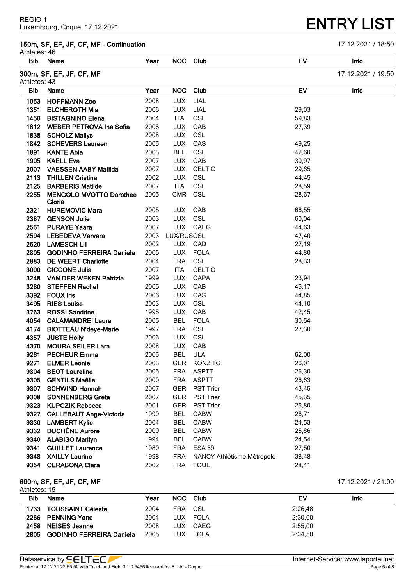# **150m, SF, EF, JF, CF, MF - Continuation** 17.12.2021 / 18:50

Athletes: 46

| <b>Bib</b>   | Name                            | Year | <b>NOC</b> | Club                       | EV        | Info               |
|--------------|---------------------------------|------|------------|----------------------------|-----------|--------------------|
| Athletes: 43 | 300m, SF, EF, JF, CF, MF        |      |            |                            |           | 17.12.2021 / 19:50 |
| <b>Bib</b>   | Name                            | Year | <b>NOC</b> | Club                       | <b>EV</b> | Info               |
| 1053         | <b>HOFFMANN Zoe</b>             | 2008 | <b>LUX</b> | LIAL                       |           |                    |
| 1351         | <b>ELCHEROTH Mia</b>            | 2006 | <b>LUX</b> | LIAL                       | 29,03     |                    |
| 1450         | <b>BISTAGNINO Elena</b>         | 2004 | <b>ITA</b> | CSL                        | 59,83     |                    |
|              | 1812 WEBER PETROVA Ina Sofia    | 2006 | <b>LUX</b> | CAB                        | 27,39     |                    |
| 1838         | <b>SCHOLZ Mailys</b>            | 2008 | <b>LUX</b> | CSL                        |           |                    |
|              | 1842 SCHEVERS Laureen           | 2005 | <b>LUX</b> | CAS                        | 49,25     |                    |
| 1891         | <b>KANTE Abia</b>               | 2003 | <b>BEL</b> | <b>CSL</b>                 | 42,60     |                    |
| 1905         | <b>KAELL Eva</b>                | 2007 | <b>LUX</b> | CAB                        | 30,97     |                    |
|              | 2007 VAESSEN AABY Matilda       | 2007 | <b>LUX</b> | <b>CELTIC</b>              | 29,65     |                    |
| 2113         | <b>THILLEN Cristina</b>         | 2002 | <b>LUX</b> | <b>CSL</b>                 | 44,45     |                    |
| 2125         | <b>BARBERIS Matilde</b>         | 2007 | <b>ITA</b> | CSL                        | 28,59     |                    |
| 2255         | <b>MENGOLO MVOTTO Dorothee</b>  | 2005 | <b>CMR</b> | <b>CSL</b>                 | 28,67     |                    |
|              | Gloria                          |      |            |                            |           |                    |
| 2321         | <b>HUREMOVIC Mara</b>           | 2005 | LUX.       | CAB                        | 66,55     |                    |
| 2387         | <b>GENSON Julie</b>             | 2003 | <b>LUX</b> | CSL                        | 60,04     |                    |
| 2561         | <b>PURAYE Yaara</b>             | 2007 | <b>LUX</b> | CAEG                       | 44,63     |                    |
| 2594         | <b>LEBEDEVA Varvara</b>         | 2003 | LUX/RUSCSL |                            | 47,40     |                    |
| 2620         | <b>LAMESCH Lili</b>             | 2002 |            | LUX CAD                    | 27,19     |                    |
| 2805         | <b>GODINHO FERREIRA Daniela</b> | 2005 | <b>LUX</b> | <b>FOLA</b>                | 44,80     |                    |
| 2883         | <b>DE WEERT Charlotte</b>       | 2004 | <b>FRA</b> | <b>CSL</b>                 | 28,33     |                    |
| 3000         | <b>CICCONE Julia</b>            | 2007 | <b>ITA</b> | <b>CELTIC</b>              |           |                    |
| 3248         | <b>VAN DER WEKEN Patrizia</b>   | 1999 | <b>LUX</b> | <b>CAPA</b>                | 23,94     |                    |
| 3280         | <b>STEFFEN Rachel</b>           | 2005 | <b>LUX</b> | CAB                        | 45,17     |                    |
| 3392         | <b>FOUX Iris</b>                | 2006 | <b>LUX</b> | CAS                        | 44,85     |                    |
| 3495         | <b>RIES Louise</b>              | 2003 | <b>LUX</b> | <b>CSL</b>                 | 44,10     |                    |
| 3763         | <b>ROSSI Sandrine</b>           | 1995 | <b>LUX</b> | CAB                        | 42,45     |                    |
| 4054         | <b>CALAMANDREI Laura</b>        | 2005 | <b>BEL</b> | <b>FOLA</b>                | 30,54     |                    |
| 4174         | <b>BIOTTEAU N'deye-Marie</b>    | 1997 | <b>FRA</b> | <b>CSL</b>                 | 27,30     |                    |
| 4357         | <b>JUSTE Holly</b>              | 2006 | <b>LUX</b> | <b>CSL</b>                 |           |                    |
| 4370         | <b>MOURA SEILER Lara</b>        | 2008 | <b>LUX</b> | CAB                        |           |                    |
| 9261         | <b>PECHEUR Emma</b>             | 2005 | <b>BEL</b> | <b>ULA</b>                 | 62,00     |                    |
| 9271         | <b>ELMER Leonie</b>             | 2003 | <b>GER</b> | <b>KONZ TG</b>             | 26,01     |                    |
| 9304         | <b>BEOT Laureline</b>           | 2005 | <b>FRA</b> | <b>ASPTT</b>               | 26,30     |                    |
| 9305         | <b>GENTILS Maëlle</b>           | 2000 | <b>FRA</b> | <b>ASPTT</b>               | 26,63     |                    |
| 9307         | <b>SCHWIND Hannah</b>           | 2007 | <b>GER</b> | PST Trier                  | 43,45     |                    |
| 9308         | <b>SONNENBERG Greta</b>         | 2007 | <b>GER</b> | <b>PST Trier</b>           | 45,35     |                    |
| 9323         | <b>KUPCZIK Rebecca</b>          | 2001 | <b>GER</b> | <b>PST Trier</b>           | 26,80     |                    |
| 9327         | <b>CALLEBAUT Ange-Victoria</b>  | 1999 | <b>BEL</b> | <b>CABW</b>                | 26,71     |                    |
| 9330         | <b>LAMBERT Kylie</b>            | 2004 | <b>BEL</b> | <b>CABW</b>                | 24,53     |                    |
| 9332         | <b>DUCHÊNE Aurore</b>           | 2000 | <b>BEL</b> | <b>CABW</b>                | 25,86     |                    |
|              | 9340 ALABISO Marilyn            | 1994 | <b>BEL</b> | <b>CABW</b>                | 24,54     |                    |
| 9341         | <b>GUILLET Laurence</b>         | 1980 | <b>FRA</b> | <b>ESA 59</b>              | 27,50     |                    |
|              | 9348 XAILLY Laurine             | 1998 | <b>FRA</b> | NANCY Athlétisme Métropole | 38,48     |                    |
|              | 9354 CERABONA Clara             | 2002 | <b>FRA</b> | <b>TOUL</b>                | 28,41     |                    |

## **600m, SF, EF, JF, CF, MF** 17.12.2021 / 21:00 Athletes: 15

| Bib  | Name                            | Year | <b>NOC</b> | Club     | EV      | Info |
|------|---------------------------------|------|------------|----------|---------|------|
|      | 1733 TOUSSAINT Céleste          | 2004 | <b>FRA</b> | CSL      | 2:26,48 |      |
| 2266 | <b>PENNING Yana</b>             | 2004 |            | LUX FOLA | 2:30.00 |      |
| 2458 | <b>NEISES Jeanne</b>            | 2008 | LUX        | CAEG     | 2:55.00 |      |
| 2805 | <b>GODINHO FERREIRA Daniela</b> | 2005 | LUX.       | FOLA     | 2:34.50 |      |

# **ENTRY LIST**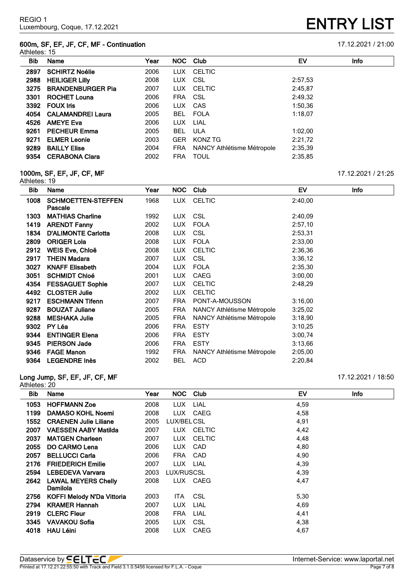### **600m, SF, EF, JF, CF, MF - Continuation** 17.12.2021 / 21:00 Athletes: 15

**ENTRY LIST** 

| Bib  | Name                     | Year |            | NOC Club                   | EV      | Info |
|------|--------------------------|------|------------|----------------------------|---------|------|
| 2897 | <b>SCHIRTZ Noélie</b>    | 2006 | LUX.       | CELTIC                     |         |      |
| 2988 | <b>HEILIGER LIIIV</b>    | 2008 | <b>LUX</b> | CSL                        | 2:57,53 |      |
| 3275 | <b>BRANDENBURGER Pia</b> | 2007 | LUX.       | <b>CELTIC</b>              | 2:45,87 |      |
| 3301 | <b>ROCHET Louna</b>      | 2006 | <b>FRA</b> | CSL                        | 2:49,32 |      |
| 3392 | <b>FOUX Iris</b>         | 2006 | <b>LUX</b> | CAS                        | 1:50,36 |      |
| 4054 | <b>CALAMANDREI Laura</b> | 2005 | BEL.       | <b>FOLA</b>                | 1:18.07 |      |
| 4526 | <b>AMEYE Eva</b>         | 2006 | <b>LUX</b> | LIAL                       |         |      |
| 9261 | <b>PECHEUR Emma</b>      | 2005 | <b>BEL</b> | ULA                        | 1:02,00 |      |
| 9271 | <b>ELMER Leonie</b>      | 2003 | <b>GER</b> | KONZ TG                    | 2:21.72 |      |
| 9289 | <b>BAILLY Elise</b>      | 2004 | <b>FRA</b> | NANCY Athlétisme Métropole | 2:35,39 |      |
| 9354 | <b>CERABONA Clara</b>    | 2002 | <b>FRA</b> | <b>TOUL</b>                | 2:35,85 |      |

### **1000m, SF, EF, JF, CF, MF** 17.12.2021 / 21:25

| Athletes: 19 |                                      |      |            |                                   |         |             |
|--------------|--------------------------------------|------|------------|-----------------------------------|---------|-------------|
| Bib          | Name                                 | Year | <b>NOC</b> | Club                              | EV      | <b>Info</b> |
| 1008         | <b>SCHMOETTEN-STEFFEN</b><br>Pascale | 1968 | LUX.       | <b>CELTIC</b>                     | 2:40,00 |             |
| 1303         | <b>MATHIAS Charline</b>              | 1992 | LUX.       | CSL                               | 2:40,09 |             |
| 1419         | <b>ARENDT Fanny</b>                  | 2002 | <b>LUX</b> | <b>FOLA</b>                       | 2:57,10 |             |
| 1834         | <b>D'ALIMONTE Carlotta</b>           | 2008 | <b>LUX</b> | CSL                               | 2:53,31 |             |
| 2809         | <b>ORIGER Lola</b>                   | 2008 | LUX.       | <b>FOLA</b>                       | 2:33,00 |             |
| 2912         | WEIS Eve, Chloë                      | 2008 | <b>LUX</b> | <b>CELTIC</b>                     | 2:36,36 |             |
| 2917         | THEIN Madara                         | 2007 | <b>LUX</b> | <b>CSL</b>                        | 3:36,12 |             |
| 3027         | <b>KNAFF Elisabeth</b>               | 2004 | <b>LUX</b> | <b>FOLA</b>                       | 2:35,30 |             |
| 3051         | <b>SCHMIDT Chloé</b>                 | 2001 | LUX.       | <b>CAEG</b>                       | 3:00,00 |             |
| 4354         | <b>FESSAGUET Sophie</b>              | 2007 | <b>LUX</b> | <b>CELTIC</b>                     | 2:48,29 |             |
| 4492         | <b>CLOSTER Julie</b>                 | 2002 | <b>LUX</b> | <b>CELTIC</b>                     |         |             |
| 9217         | <b>ESCHMANN Tifenn</b>               | 2007 | <b>FRA</b> | PONT-A-MOUSSON                    | 3:16,00 |             |
| 9287         | <b>BOUZAT Juliane</b>                | 2005 | <b>FRA</b> | NANCY Athlétisme Métropole        | 3:25,02 |             |
| 9288         | <b>MESHAKA Julie</b>                 | 2005 | <b>FRA</b> | NANCY Athlétisme Métropole        | 3:18,90 |             |
| 9302         | PY Léa                               | 2006 | <b>FRA</b> | <b>ESTY</b>                       | 3:10.25 |             |
| 9344         | <b>ENTINGER Elena</b>                | 2006 | <b>FRA</b> | <b>ESTY</b>                       | 3:00,74 |             |
| 9345         | <b>PIERSON Jade</b>                  | 2006 | <b>FRA</b> | <b>ESTY</b>                       | 3:13,66 |             |
| 9346         | <b>FAGE Manon</b>                    | 1992 | <b>FRA</b> | <b>NANCY Athlétisme Métropole</b> | 2:05.00 |             |
| 9364         | <b>LEGENDRE Inès</b>                 | 2002 | <b>BEL</b> | <b>ACD</b>                        | 2:20,84 |             |

# **Long Jump, SF, EF, JF, CF, MF** 17.12.2021 / 18:50

Athletes: 20

| Bib. | Name                              | Year | <b>NOC</b> | Club        | EV   | Info |  |
|------|-----------------------------------|------|------------|-------------|------|------|--|
| 1053 | <b>HOFFMANN Zoe</b>               | 2008 | LUX.       | <b>LIAL</b> | 4,59 |      |  |
| 1199 | <b>DAMASO KOHL Noemi</b>          | 2008 | <b>LUX</b> | CAEG        | 4,58 |      |  |
| 1552 | <b>CRAENEN Julie Liliane</b>      | 2005 | LUX/BELCSL |             | 4,91 |      |  |
| 2007 | <b>VAESSEN AABY Matilda</b>       | 2007 |            | LUX CELTIC  | 4,42 |      |  |
| 2037 | <b>MATGEN Charleen</b>            | 2007 | LUX.       | CELTIC      | 4,48 |      |  |
| 2055 | <b>DO CARMO Lena</b>              | 2006 | <b>LUX</b> | <b>CAD</b>  | 4,80 |      |  |
| 2057 | <b>BELLUCCI Carla</b>             | 2006 | <b>FRA</b> | <b>CAD</b>  | 4,90 |      |  |
| 2176 | <b>FRIEDERICH Emilie</b>          | 2007 | LUX.       | LIAL        | 4,39 |      |  |
| 2594 | <b>LEBEDEVA Varvara</b>           | 2003 | LUX/RUSCSL |             | 4,39 |      |  |
| 2642 | <b>LAWAL MEYERS Chelly</b>        | 2008 |            | LUX CAEG    | 4,47 |      |  |
|      | Damilola                          |      |            |             |      |      |  |
| 2756 | <b>KOFFI Melody N'Da Vittoria</b> | 2003 | <b>ITA</b> | <b>CSL</b>  | 5,30 |      |  |
| 2794 | <b>KRAMER Hannah</b>              | 2007 | <b>LUX</b> | LIAL        | 4,69 |      |  |
| 2919 | <b>CLERC Fleur</b>                | 2008 | <b>FRA</b> | LIAL        | 4,41 |      |  |
| 3345 | <b>VAVAKOU Sofia</b>              | 2005 | LUX.       | <b>CSL</b>  | 4,38 |      |  |
| 4018 | <b>HAU Léini</b>                  | 2008 | <b>LUX</b> | CAEG        | 4,67 |      |  |
|      |                                   |      |            |             |      |      |  |